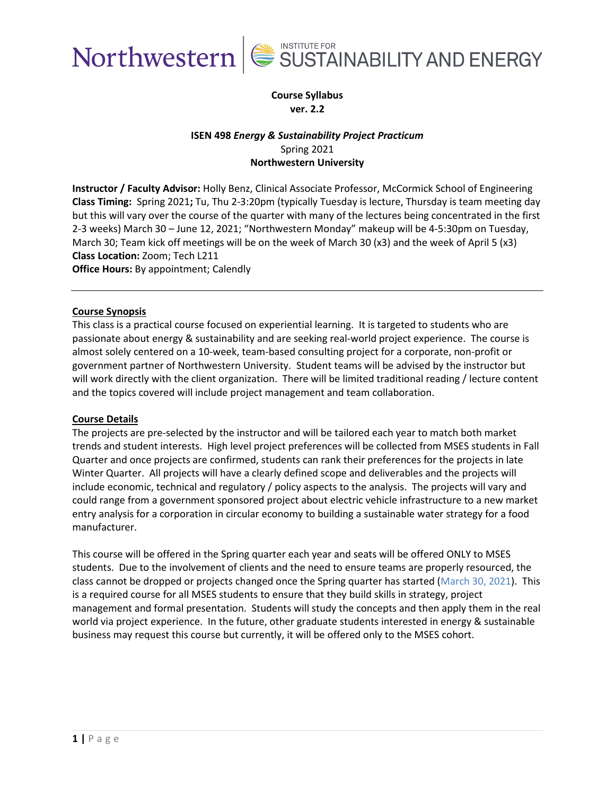



### **Course Syllabus ver. 2.2**

### **ISEN 498** *Energy & Sustainability Project Practicum* Spring 2021 **Northwestern University**

**Instructor / Faculty Advisor:** Holly Benz, Clinical Associate Professor, McCormick School of Engineering **Class Timing:** Spring 2021**;** Tu, Thu 2-3:20pm (typically Tuesday is lecture, Thursday is team meeting day but this will vary over the course of the quarter with many of the lectures being concentrated in the first 2-3 weeks) March 30 – June 12, 2021; "Northwestern Monday" makeup will be 4-5:30pm on Tuesday, March 30; Team kick off meetings will be on the week of March 30 (x3) and the week of April 5 (x3) **Class Location:** Zoom; Tech L211

**Office Hours:** By appointment; Calendly

### **Course Synopsis**

This class is a practical course focused on experiential learning. It is targeted to students who are passionate about energy & sustainability and are seeking real-world project experience. The course is almost solely centered on a 10-week, team-based consulting project for a corporate, non-profit or government partner of Northwestern University. Student teams will be advised by the instructor but will work directly with the client organization. There will be limited traditional reading / lecture content and the topics covered will include project management and team collaboration.

### **Course Details**

The projects are pre-selected by the instructor and will be tailored each year to match both market trends and student interests. High level project preferences will be collected from MSES students in Fall Quarter and once projects are confirmed, students can rank their preferences for the projects in late Winter Quarter. All projects will have a clearly defined scope and deliverables and the projects will include economic, technical and regulatory / policy aspects to the analysis. The projects will vary and could range from a government sponsored project about electric vehicle infrastructure to a new market entry analysis for a corporation in circular economy to building a sustainable water strategy for a food manufacturer.

This course will be offered in the Spring quarter each year and seats will be offered ONLY to MSES students. Due to the involvement of clients and the need to ensure teams are properly resourced, the class cannot be dropped or projects changed once the Spring quarter has started (March 30, 2021). This is a required course for all MSES students to ensure that they build skills in strategy, project management and formal presentation. Students will study the concepts and then apply them in the real world via project experience. In the future, other graduate students interested in energy & sustainable business may request this course but currently, it will be offered only to the MSES cohort.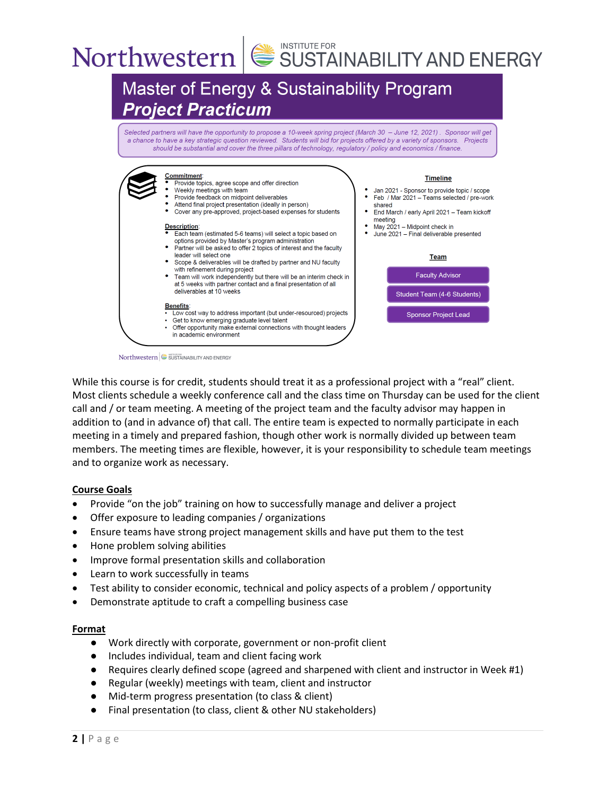# Northwestern SUSTAINABILITY AND ENERGY



Northwestern SUSTAINABILITY AND ENERGY

While this course is for credit, students should treat it as a professional project with a "real" client. Most clients schedule a weekly conference call and the class time on Thursday can be used for the client call and / or team meeting. A meeting of the project team and the faculty advisor may happen in addition to (and in advance of) that call. The entire team is expected to normally participate in each meeting in a timely and prepared fashion, though other work is normally divided up between team members. The meeting times are flexible, however, it is your responsibility to schedule team meetings and to organize work as necessary.

### **Course Goals**

- Provide "on the job" training on how to successfully manage and deliver a project
- Offer exposure to leading companies / organizations
- Ensure teams have strong project management skills and have put them to the test
- Hone problem solving abilities
- Improve formal presentation skills and collaboration
- Learn to work successfully in teams
- Test ability to consider economic, technical and policy aspects of a problem / opportunity
- Demonstrate aptitude to craft a compelling business case

### **Format**

- Work directly with corporate, government or non-profit client
- Includes individual, team and client facing work
- Requires clearly defined scope (agreed and sharpened with client and instructor in Week #1)
- Regular (weekly) meetings with team, client and instructor
- Mid-term progress presentation (to class & client)
- Final presentation (to class, client & other NU stakeholders)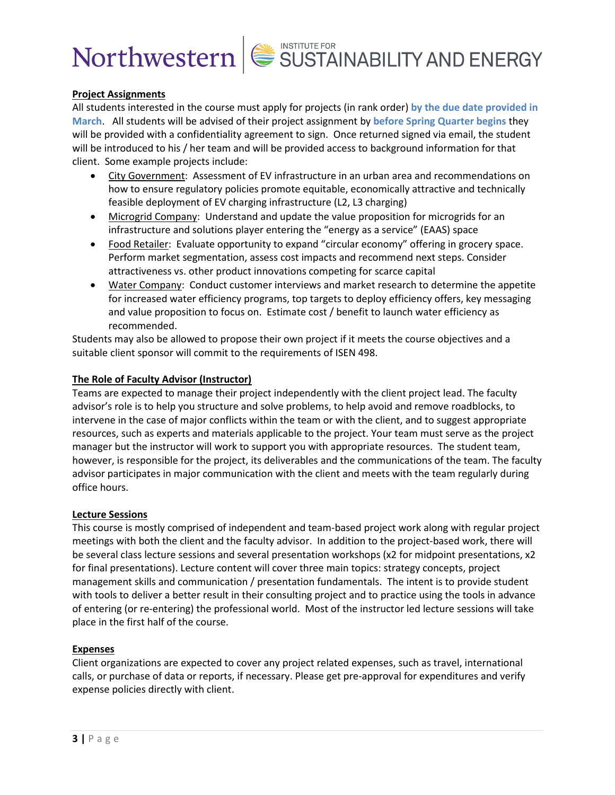# Northwestern SUSTAINABILITY AND ENERGY

### **Project Assignments**

All students interested in the course must apply for projects (in rank order) **by the due date provided in March**. All students will be advised of their project assignment by **before Spring Quarter begins** they will be provided with a confidentiality agreement to sign. Once returned signed via email, the student will be introduced to his / her team and will be provided access to background information for that client. Some example projects include:

- City Government: Assessment of EV infrastructure in an urban area and recommendations on how to ensure regulatory policies promote equitable, economically attractive and technically feasible deployment of EV charging infrastructure (L2, L3 charging)
- Microgrid Company: Understand and update the value proposition for microgrids for an infrastructure and solutions player entering the "energy as a service" (EAAS) space
- Food Retailer: Evaluate opportunity to expand "circular economy" offering in grocery space. Perform market segmentation, assess cost impacts and recommend next steps. Consider attractiveness vs. other product innovations competing for scarce capital
- Water Company: Conduct customer interviews and market research to determine the appetite for increased water efficiency programs, top targets to deploy efficiency offers, key messaging and value proposition to focus on. Estimate cost / benefit to launch water efficiency as recommended.

Students may also be allowed to propose their own project if it meets the course objectives and a suitable client sponsor will commit to the requirements of ISEN 498.

### **The Role of Faculty Advisor (Instructor)**

Teams are expected to manage their project independently with the client project lead. The faculty advisor's role is to help you structure and solve problems, to help avoid and remove roadblocks, to intervene in the case of major conflicts within the team or with the client, and to suggest appropriate resources, such as experts and materials applicable to the project. Your team must serve as the project manager but the instructor will work to support you with appropriate resources. The student team, however, is responsible for the project, its deliverables and the communications of the team. The faculty advisor participates in major communication with the client and meets with the team regularly during office hours.

### **Lecture Sessions**

This course is mostly comprised of independent and team-based project work along with regular project meetings with both the client and the faculty advisor. In addition to the project-based work, there will be several class lecture sessions and several presentation workshops (x2 for midpoint presentations, x2 for final presentations). Lecture content will cover three main topics: strategy concepts, project management skills and communication / presentation fundamentals. The intent is to provide student with tools to deliver a better result in their consulting project and to practice using the tools in advance of entering (or re-entering) the professional world. Most of the instructor led lecture sessions will take place in the first half of the course.

### **Expenses**

Client organizations are expected to cover any project related expenses, such as travel, international calls, or purchase of data or reports, if necessary. Please get pre-approval for expenditures and verify expense policies directly with client.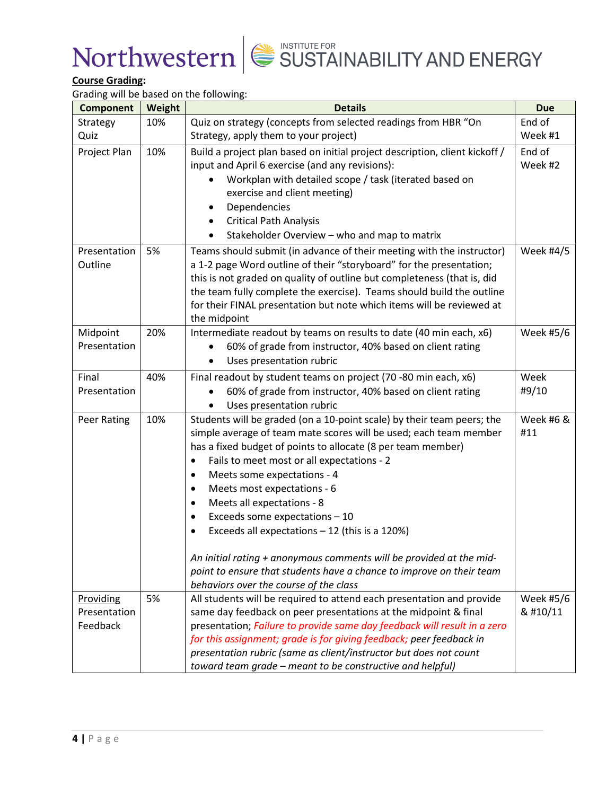

## **Course Grading:**

Grading will be based on the following:

| <b>Component</b>   | Weight | יסיייי ייטויט ויטוריט י<br><b>Details</b>                                   | <b>Due</b> |
|--------------------|--------|-----------------------------------------------------------------------------|------------|
| Strategy           | 10%    | Quiz on strategy (concepts from selected readings from HBR "On              | End of     |
| Quiz               |        | Strategy, apply them to your project)                                       | Week #1    |
| Project Plan       | 10%    | Build a project plan based on initial project description, client kickoff / | End of     |
|                    |        | input and April 6 exercise (and any revisions):                             | Week #2    |
|                    |        | Workplan with detailed scope / task (iterated based on                      |            |
|                    |        | exercise and client meeting)                                                |            |
|                    |        | Dependencies                                                                |            |
|                    |        | <b>Critical Path Analysis</b><br>٠                                          |            |
|                    |        | Stakeholder Overview - who and map to matrix                                |            |
| Presentation       | 5%     | Teams should submit (in advance of their meeting with the instructor)       | Week #4/5  |
| Outline            |        | a 1-2 page Word outline of their "storyboard" for the presentation;         |            |
|                    |        | this is not graded on quality of outline but completeness (that is, did     |            |
|                    |        | the team fully complete the exercise). Teams should build the outline       |            |
|                    |        | for their FINAL presentation but note which items will be reviewed at       |            |
|                    |        | the midpoint                                                                |            |
| Midpoint           | 20%    | Intermediate readout by teams on results to date (40 min each, x6)          | Week #5/6  |
| Presentation       |        | 60% of grade from instructor, 40% based on client rating                    |            |
|                    |        | Uses presentation rubric                                                    |            |
| Final              | 40%    | Final readout by student teams on project (70 -80 min each, x6)             | Week       |
| Presentation       |        | 60% of grade from instructor, 40% based on client rating                    | #9/10      |
|                    |        | Uses presentation rubric                                                    |            |
| <b>Peer Rating</b> | 10%    | Students will be graded (on a 10-point scale) by their team peers; the      | Week #6 &  |
|                    |        | simple average of team mate scores will be used; each team member           | #11        |
|                    |        | has a fixed budget of points to allocate (8 per team member)                |            |
|                    |        | Fails to meet most or all expectations - 2<br>$\bullet$                     |            |
|                    |        | Meets some expectations - 4<br>$\bullet$                                    |            |
|                    |        | Meets most expectations - 6<br>$\bullet$                                    |            |
|                    |        | Meets all expectations - 8<br>$\bullet$                                     |            |
|                    |        | Exceeds some expectations - 10<br>$\bullet$                                 |            |
|                    |        | Exceeds all expectations $-12$ (this is a 120%)                             |            |
|                    |        | An initial rating + anonymous comments will be provided at the mid-         |            |
|                    |        | point to ensure that students have a chance to improve on their team        |            |
|                    |        | behaviors over the course of the class                                      |            |
| Providing          | 5%     | All students will be required to attend each presentation and provide       | Week #5/6  |
| Presentation       |        | same day feedback on peer presentations at the midpoint & final             | & #10/11   |
| Feedback           |        | presentation; Failure to provide same day feedback will result in a zero    |            |
|                    |        | for this assignment; grade is for giving feedback; peer feedback in         |            |
|                    |        | presentation rubric (same as client/instructor but does not count           |            |
|                    |        | toward team grade - meant to be constructive and helpful)                   |            |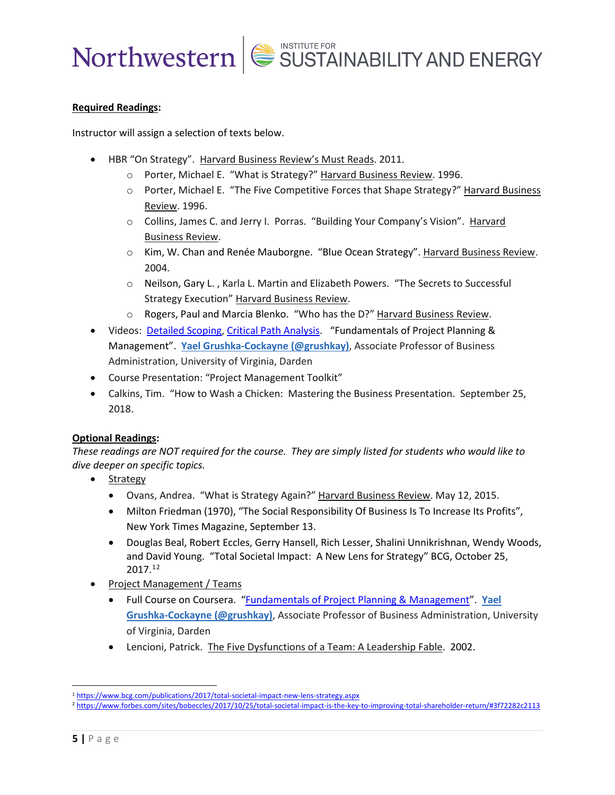

### **Required Readings:**

Instructor will assign a selection of texts below.

- HBR "On Strategy". Harvard Business Review's Must Reads. 2011.
	- o Porter, Michael E. "What is Strategy?" Harvard Business Review. 1996.
	- o Porter, Michael E. "The Five Competitive Forces that Shape Strategy?" Harvard Business Review. 1996.
	- o Collins, James C. and Jerry I. Porras. "Building Your Company's Vision". Harvard Business Review.
	- o Kim, W. Chan and Renée Mauborgne. "Blue Ocean Strategy". Harvard Business Review. 2004.
	- o Neilson, Gary L. , Karla L. Martin and Elizabeth Powers. "The Secrets to Successful Strategy Execution" Harvard Business Review.
	- o Rogers, Paul and Marcia Blenko. "Who has the D?" Harvard Business Review.
- Videos: [Detailed Scoping,](https://www.coursera.org/lecture/uva-darden-project-management/detailed-scoping-M6Shl) [Critical Path Analysis.](https://www.coursera.org/lecture/uva-darden-project-management/determine-the-completion-date-critical-path-Opf7W) "Fundamentals of Project Planning & Management". **[Yael Grushka-Cockayne \(@grushkay\)](https://www.coursera.org/instructor/grushkay)**, Associate Professor of Business Administration, University of Virginia, Darden
- Course Presentation: "Project Management Toolkit"
- Calkins, Tim. "How to Wash a Chicken: Mastering the Business Presentation. September 25, 2018.

### **Optional Readings:**

*These readings are NOT required for the course. They are simply listed for students who would like to dive deeper on specific topics.*

- **Strategy** 
	- Ovans, Andrea. "What is Strategy Again?" Harvard Business Review. May 12, 2015.
	- Milton Friedman (1970), "The Social Responsibility Of Business Is To Increase Its Profits", New York Times Magazine, September 13.
	- [Douglas Beal,](https://www.bcg.com/about/people/experts/doug-beal.aspx) [Robert Eccles,](https://www.bcg.com/about/people/experts/eccles-robert.aspx) [Gerry Hansell,](https://www.bcg.com/about/people/experts/gerry-hansell.aspx) [Rich Lesser,](https://www.bcg.com/about/people/experts/rich-lesser.aspx) [Shalini Unnikrishnan,](https://www.bcg.com/about/people/experts/shalini-unnikrishnan.aspx) [Wendy Woods,](https://www.bcg.com/about/people/experts/wendy-woods.aspx) and [David Young.](https://www.bcg.com/about/people/experts/david-young.aspx) "Total Societal Impact: A New Lens for Strategy" BCG, October 25, 2017.[1](#page-4-0)[2](#page-4-1)
- Project Management / Teams
	- Full Course on Coursera. ["Fundamentals of Project Planning & Management"](https://www.coursera.org/learn/uva-darden-project-management/home/info). **[Yael](https://www.coursera.org/instructor/grushkay)  [Grushka-Cockayne \(@grushkay\)](https://www.coursera.org/instructor/grushkay)**, Associate Professor of Business Administration, University of Virginia, Darden
	- Lencioni, Patrick. The Five Dysfunctions of a Team: A Leadership Fable. 2002.

<span id="page-4-0"></span><sup>1</sup> <https://www.bcg.com/publications/2017/total-societal-impact-new-lens-strategy.aspx>

<span id="page-4-1"></span><sup>2</sup> <https://www.forbes.com/sites/bobeccles/2017/10/25/total-societal-impact-is-the-key-to-improving-total-shareholder-return/#3f72282c2113>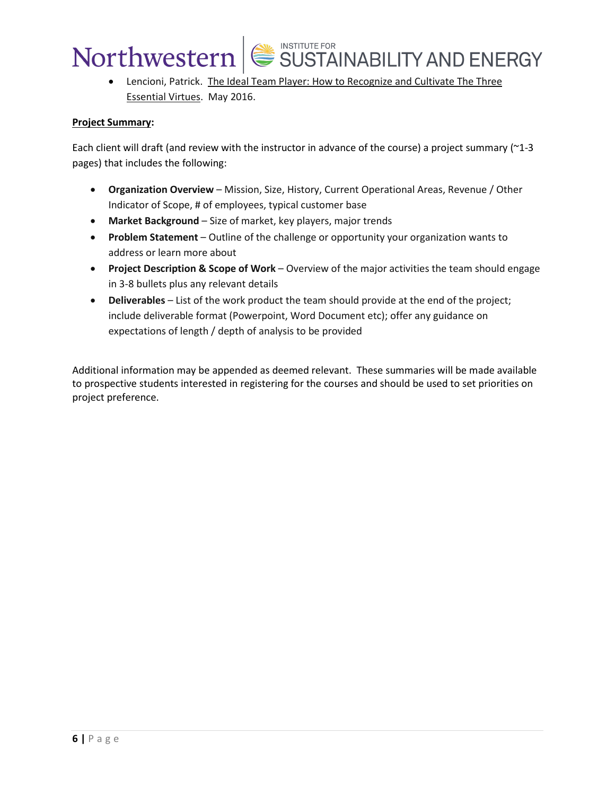## Northwestern

• Lencioni, Patrick. The Ideal Team Player: How to Recognize and Cultivate The Three Essential Virtues. May 2016.

SUSTAINABILITY AND ENERGY

### **Project Summary:**

Each client will draft (and review with the instructor in advance of the course) a project summary ( $\sim$ 1-3 pages) that includes the following:

- **Organization Overview** Mission, Size, History, Current Operational Areas, Revenue / Other Indicator of Scope, # of employees, typical customer base
- **Market Background** Size of market, key players, major trends
- **Problem Statement** Outline of the challenge or opportunity your organization wants to address or learn more about
- **Project Description & Scope of Work** Overview of the major activities the team should engage in 3-8 bullets plus any relevant details
- **Deliverables** List of the work product the team should provide at the end of the project; include deliverable format (Powerpoint, Word Document etc); offer any guidance on expectations of length / depth of analysis to be provided

Additional information may be appended as deemed relevant. These summaries will be made available to prospective students interested in registering for the courses and should be used to set priorities on project preference.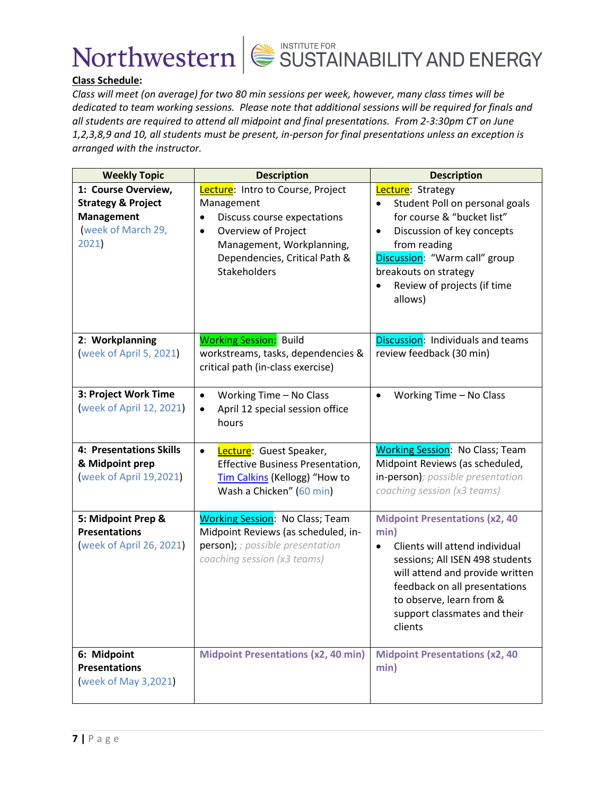



## **Class Schedule:**

*Class will meet (on average) for two 80 min sessions per week, however, many class times will be dedicated to team working sessions. Please note that additional sessions will be required for finals and all students are required to attend all midpoint and final presentations. From 2-3:30pm CT on June 1,2,3,8,9 and 10, all students must be present, in-person for final presentations unless an exception is arranged with the instructor.*

| <b>Weekly Topic</b>                                                                                     | <b>Description</b>                                                                                                                                                                                                   | <b>Description</b>                                                                                                                                                                                                                                            |  |
|---------------------------------------------------------------------------------------------------------|----------------------------------------------------------------------------------------------------------------------------------------------------------------------------------------------------------------------|---------------------------------------------------------------------------------------------------------------------------------------------------------------------------------------------------------------------------------------------------------------|--|
| 1: Course Overview,<br><b>Strategy &amp; Project</b><br><b>Management</b><br>week of March 29,<br>2021) | Lecture: Intro to Course, Project<br>Management<br>Discuss course expectations<br>$\bullet$<br>Overview of Project<br>$\bullet$<br>Management, Workplanning,<br>Dependencies, Critical Path &<br><b>Stakeholders</b> | Lecture: Strategy<br>Student Poll on personal goals<br>$\bullet$<br>for course & "bucket list"<br>Discussion of key concepts<br>$\bullet$<br>from reading<br>Discussion: "Warm call" group<br>breakouts on strategy<br>Review of projects (if time<br>allows) |  |
| 2: Workplanning<br>(week of April 5, 2021)                                                              | <b>Working Session:</b> Build<br>workstreams, tasks, dependencies &<br>critical path (in-class exercise)                                                                                                             | Discussion: Individuals and teams<br>review feedback (30 min)                                                                                                                                                                                                 |  |
| 3: Project Work Time<br>week of April 12, 2021)                                                         | Working Time - No Class<br>$\bullet$<br>April 12 special session office<br>$\bullet$<br>hours                                                                                                                        | Working Time - No Class<br>$\bullet$                                                                                                                                                                                                                          |  |
| 4: Presentations Skills<br>& Midpoint prep<br>week of April 19,2021)                                    | Lecture: Guest Speaker,<br>$\bullet$<br><b>Effective Business Presentation,</b><br>Tim Calkins (Kellogg) "How to<br>Wash a Chicken" (60 min)                                                                         | <b>Working Session: No Class; Team</b><br>Midpoint Reviews (as scheduled,<br>in-person); possible presentation<br>coaching session (x3 teams)                                                                                                                 |  |
| 5: Midpoint Prep &<br><b>Presentations</b><br>week of April 26, 2021)                                   | <b>Working Session: No Class; Team</b><br>Midpoint Reviews (as scheduled, in-<br>person); ; possible presentation<br>coaching session (x3 teams)                                                                     | <b>Midpoint Presentations (x2, 40</b><br>min)<br>Clients will attend individual<br>sessions; All ISEN 498 students<br>will attend and provide written<br>feedback on all presentations<br>to observe, learn from &<br>support classmates and their<br>clients |  |
| 6: Midpoint<br><b>Presentations</b><br>week of May 3,2021)                                              | <b>Midpoint Presentations (x2, 40 min)</b>                                                                                                                                                                           | <b>Midpoint Presentations (x2, 40)</b><br>min)                                                                                                                                                                                                                |  |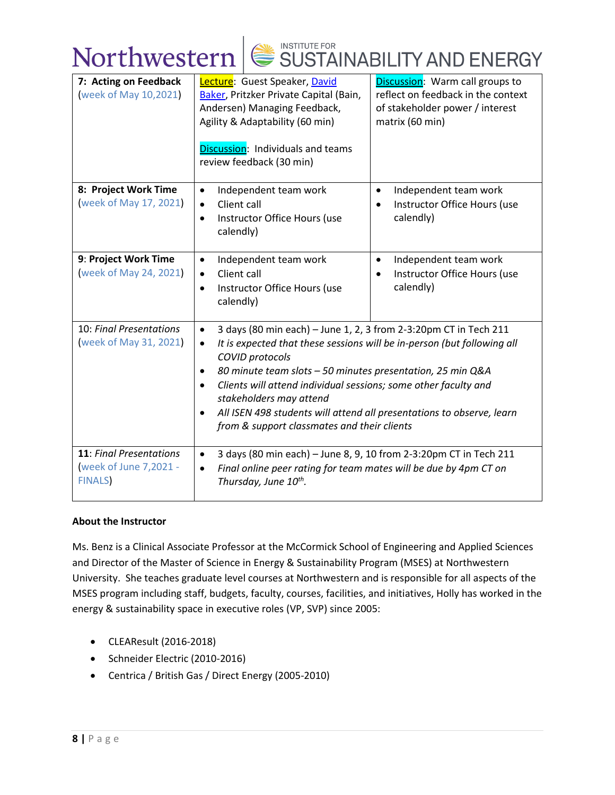

| 7: Acting on Feedback<br>week of May 10,2021)                            | Lecture: Guest Speaker, David<br>Baker, Pritzker Private Capital (Bain,<br>Andersen) Managing Feedback,<br>Agility & Adaptability (60 min)<br>Discussion: Individuals and teams<br>review feedback (30 min)                                                                                                                                                                                                                                                          | Discussion: Warm call groups to<br>reflect on feedback in the context<br>of stakeholder power / interest<br>matrix (60 min) |  |
|--------------------------------------------------------------------------|----------------------------------------------------------------------------------------------------------------------------------------------------------------------------------------------------------------------------------------------------------------------------------------------------------------------------------------------------------------------------------------------------------------------------------------------------------------------|-----------------------------------------------------------------------------------------------------------------------------|--|
| 8: Project Work Time<br>week of May 17, 2021)                            | Independent team work<br>$\bullet$<br>Client call<br>$\bullet$<br>Instructor Office Hours (use<br>$\bullet$<br>calendly)                                                                                                                                                                                                                                                                                                                                             | Independent team work<br>$\bullet$<br>Instructor Office Hours (use<br>$\bullet$<br>calendly)                                |  |
| 9: Project Work Time<br>week of May 24, 2021)                            | Independent team work<br>$\bullet$<br>Client call<br>$\bullet$<br>Instructor Office Hours (use<br>$\bullet$<br>calendly)                                                                                                                                                                                                                                                                                                                                             | Independent team work<br>$\bullet$<br>Instructor Office Hours (use<br>calendly)                                             |  |
| 10: Final Presentations<br>week of May 31, 2021)                         | 3 days (80 min each) - June 1, 2, 3 from 2-3:20pm CT in Tech 211<br>$\bullet$<br>It is expected that these sessions will be in-person (but following all<br>٠<br>COVID protocols<br>80 minute team slots - 50 minutes presentation, 25 min Q&A<br>Clients will attend individual sessions; some other faculty and<br>stakeholders may attend<br>All ISEN 498 students will attend all presentations to observe, learn<br>from & support classmates and their clients |                                                                                                                             |  |
| <b>11: Final Presentations</b><br>week of June 7,2021 -<br><b>FINALS</b> | 3 days (80 min each) - June 8, 9, 10 from 2-3:20pm CT in Tech 211<br>$\bullet$<br>Final online peer rating for team mates will be due by 4pm CT on<br>$\bullet$<br>Thursday, June 10th.                                                                                                                                                                                                                                                                              |                                                                                                                             |  |

### **About the Instructor**

Ms. Benz is a Clinical Associate Professor at the McCormick School of Engineering and Applied Sciences and Director of the Master of Science in Energy & Sustainability Program (MSES) at Northwestern University. She teaches graduate level courses at Northwestern and is responsible for all aspects of the MSES program including staff, budgets, faculty, courses, facilities, and initiatives, Holly has worked in the energy & sustainability space in executive roles (VP, SVP) since 2005:

- CLEAResult (2016-2018)
- Schneider Electric (2010-2016)
- Centrica / British Gas / Direct Energy (2005-2010)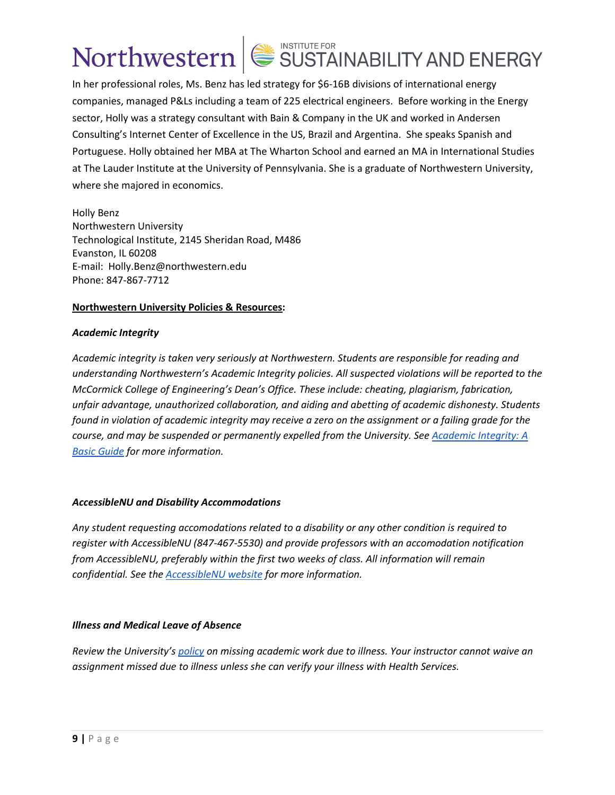# Northwestern SUSTAINABILITY AND ENERGY

In her professional roles, Ms. Benz has led strategy for \$6-16B divisions of international energy companies, managed P&Ls including a team of 225 electrical engineers. Before working in the Energy sector, Holly was a strategy consultant with Bain & Company in the UK and worked in Andersen Consulting's Internet Center of Excellence in the US, Brazil and Argentina. She speaks Spanish and Portuguese. Holly obtained her MBA at The Wharton School and earned an MA in International Studies at The Lauder Institute at the University of Pennsylvania. She is a graduate of Northwestern University, where she majored in economics.

Holly Benz Northwestern University Technological Institute, 2145 Sheridan Road, M486 Evanston, IL 60208 E-mail: Holly.Benz@northwestern.edu Phone: 847-867-7712

### **Northwestern University Policies & Resources:**

### *Academic Integrity*

*Academic integrity is taken very seriously at Northwestern. Students are responsible for reading and understanding Northwestern's Academic Integrity policies. All suspected violations will be reported to the McCormick College of Engineering's Dean's Office. These include: cheating, plagiarism, fabrication, unfair advantage, unauthorized collaboration, and aiding and abetting of academic dishonesty. Students found in violation of academic integrity may receive a zero on the assignment or a failing grade for the course, and may be suspended or permanently expelled from the University. See [Academic Integrity: A](https://www.northwestern.edu/provost/policies/academic-integrity/Academic-Integrity-Guide-August-2019.pdf)  [Basic Guide](https://www.northwestern.edu/provost/policies/academic-integrity/Academic-Integrity-Guide-August-2019.pdf) for more information.*

## *AccessibleNU and Disability Accommodations*

*Any student requesting accomodations related to a disability or any other condition is required to register with AccessibleNU (847-467-5530) and provide professors with an accomodation notification from AccessibleNU, preferably within the first two weeks of class. All information will remain confidential. See the [AccessibleNU website](https://www.northwestern.edu/accessiblenu/) for more information.*

## *Illness and Medical Leave of Absence*

*Review the University'[s policy](https://www.northwestern.edu/healthservice-evanston/policies/academic-work-missed-for-medical-reasons/index.html) on missing academic work due to illness. Your instructor cannot waive an assignment missed due to illness unless she can verify your illness with Health Services.*